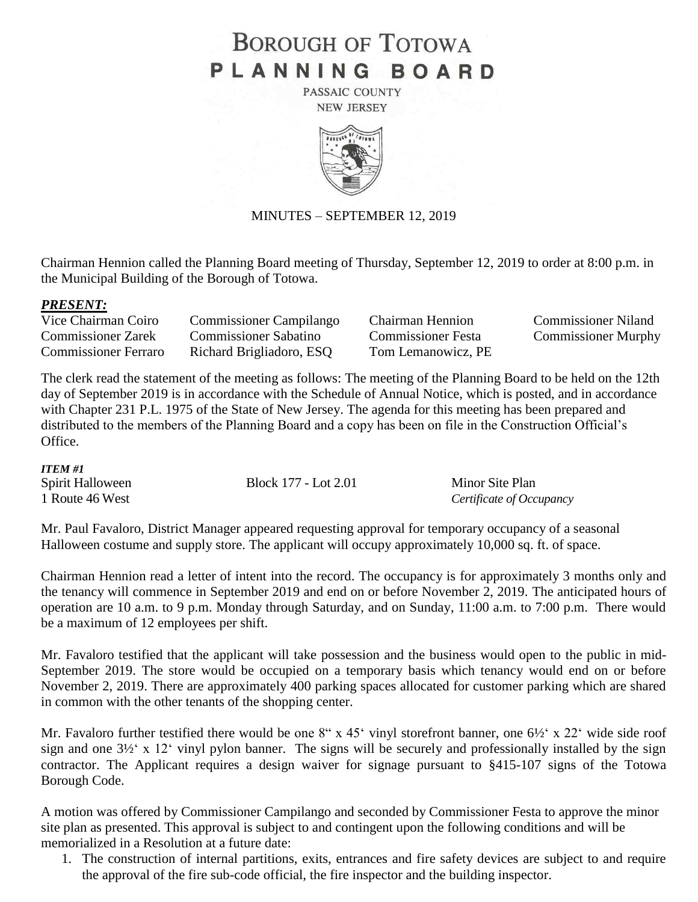# **BOROUGH OF TOTOWA** PLANNING BOARD

PASSAIC COUNTY **NEW JERSEY** 



# MINUTES – SEPTEMBER 12, 2019

Chairman Hennion called the Planning Board meeting of Thursday, September 12, 2019 to order at 8:00 p.m. in the Municipal Building of the Borough of Totowa.

#### *PRESENT:*

| Vice Chairman Coiro         | <b>Commissioner Campilango</b> |
|-----------------------------|--------------------------------|
| Commissioner Zarek          | <b>Commissioner Sabatino</b>   |
| <b>Commissioner Ferraro</b> | Richard Brigliadoro, ESQ       |

Chairman Hennion Commissioner Niland Tom Lemanowicz, PE

Commissioner Festa Commissioner Murphy

The clerk read the statement of the meeting as follows: The meeting of the Planning Board to be held on the 12th day of September 2019 is in accordance with the Schedule of Annual Notice, which is posted, and in accordance with Chapter 231 P.L. 1975 of the State of New Jersey. The agenda for this meeting has been prepared and distributed to the members of the Planning Board and a copy has been on file in the Construction Official's Office.

#### *ITEM #1*

| Spirit Halloween | Block 177 - Lot 2.01 | Minor Site Plan          |
|------------------|----------------------|--------------------------|
| 1 Route 46 West  |                      | Certificate of Occupancy |

Mr. Paul Favaloro, District Manager appeared requesting approval for temporary occupancy of a seasonal Halloween costume and supply store. The applicant will occupy approximately 10,000 sq. ft. of space.

Chairman Hennion read a letter of intent into the record. The occupancy is for approximately 3 months only and the tenancy will commence in September 2019 and end on or before November 2, 2019. The anticipated hours of operation are 10 a.m. to 9 p.m. Monday through Saturday, and on Sunday, 11:00 a.m. to 7:00 p.m. There would be a maximum of 12 employees per shift.

Mr. Favaloro testified that the applicant will take possession and the business would open to the public in mid-September 2019. The store would be occupied on a temporary basis which tenancy would end on or before November 2, 2019. There are approximately 400 parking spaces allocated for customer parking which are shared in common with the other tenants of the shopping center.

Mr. Favaloro further testified there would be one 8" x 45" vinyl storefront banner, one 6½" x 22" wide side roof sign and one 3½' x 12' vinyl pylon banner. The signs will be securely and professionally installed by the sign contractor. The Applicant requires a design waiver for signage pursuant to §415-107 signs of the Totowa Borough Code.

A motion was offered by Commissioner Campilango and seconded by Commissioner Festa to approve the minor site plan as presented. This approval is subject to and contingent upon the following conditions and will be memorialized in a Resolution at a future date:

1. The construction of internal partitions, exits, entrances and fire safety devices are subject to and require the approval of the fire sub-code official, the fire inspector and the building inspector.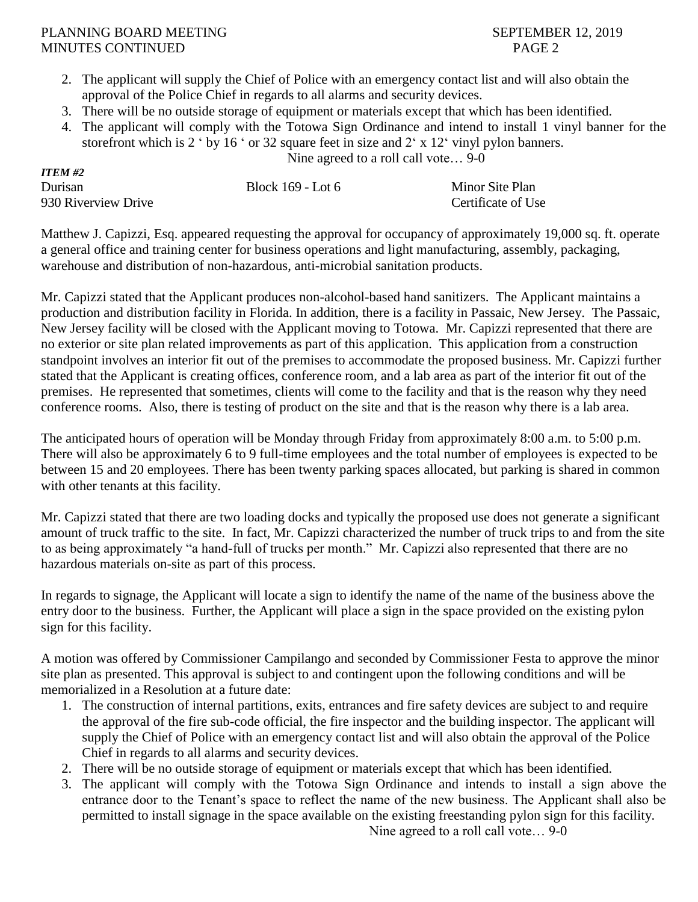*ITEM #2*

- 2. The applicant will supply the Chief of Police with an emergency contact list and will also obtain the approval of the Police Chief in regards to all alarms and security devices.
- 3. There will be no outside storage of equipment or materials except that which has been identified.
- 4. The applicant will comply with the Totowa Sign Ordinance and intend to install 1 vinyl banner for the storefront which is 2 ' by 16 ' or 32 square feet in size and 2' x 12' vinyl pylon banners.

Nine agreed to a roll call vote… 9-0

| Durisan             | Block 169 - Lot 6 | Minor Site Plan    |
|---------------------|-------------------|--------------------|
| 930 Riverview Drive |                   | Certificate of Use |

Matthew J. Capizzi, Esq. appeared requesting the approval for occupancy of approximately 19,000 sq. ft. operate a general office and training center for business operations and light manufacturing, assembly, packaging, warehouse and distribution of non-hazardous, anti-microbial sanitation products.

Mr. Capizzi stated that the Applicant produces non-alcohol-based hand sanitizers. The Applicant maintains a production and distribution facility in Florida. In addition, there is a facility in Passaic, New Jersey. The Passaic, New Jersey facility will be closed with the Applicant moving to Totowa. Mr. Capizzi represented that there are no exterior or site plan related improvements as part of this application. This application from a construction standpoint involves an interior fit out of the premises to accommodate the proposed business. Mr. Capizzi further stated that the Applicant is creating offices, conference room, and a lab area as part of the interior fit out of the premises. He represented that sometimes, clients will come to the facility and that is the reason why they need conference rooms. Also, there is testing of product on the site and that is the reason why there is a lab area.

The anticipated hours of operation will be Monday through Friday from approximately 8:00 a.m. to 5:00 p.m. There will also be approximately 6 to 9 full-time employees and the total number of employees is expected to be between 15 and 20 employees. There has been twenty parking spaces allocated, but parking is shared in common with other tenants at this facility.

Mr. Capizzi stated that there are two loading docks and typically the proposed use does not generate a significant amount of truck traffic to the site. In fact, Mr. Capizzi characterized the number of truck trips to and from the site to as being approximately "a hand-full of trucks per month." Mr. Capizzi also represented that there are no hazardous materials on-site as part of this process.

In regards to signage, the Applicant will locate a sign to identify the name of the name of the business above the entry door to the business. Further, the Applicant will place a sign in the space provided on the existing pylon sign for this facility.

A motion was offered by Commissioner Campilango and seconded by Commissioner Festa to approve the minor site plan as presented. This approval is subject to and contingent upon the following conditions and will be memorialized in a Resolution at a future date:

- 1. The construction of internal partitions, exits, entrances and fire safety devices are subject to and require the approval of the fire sub-code official, the fire inspector and the building inspector. The applicant will supply the Chief of Police with an emergency contact list and will also obtain the approval of the Police Chief in regards to all alarms and security devices.
- 2. There will be no outside storage of equipment or materials except that which has been identified.
- 3. The applicant will comply with the Totowa Sign Ordinance and intends to install a sign above the entrance door to the Tenant's space to reflect the name of the new business. The Applicant shall also be permitted to install signage in the space available on the existing freestanding pylon sign for this facility.

Nine agreed to a roll call vote… 9-0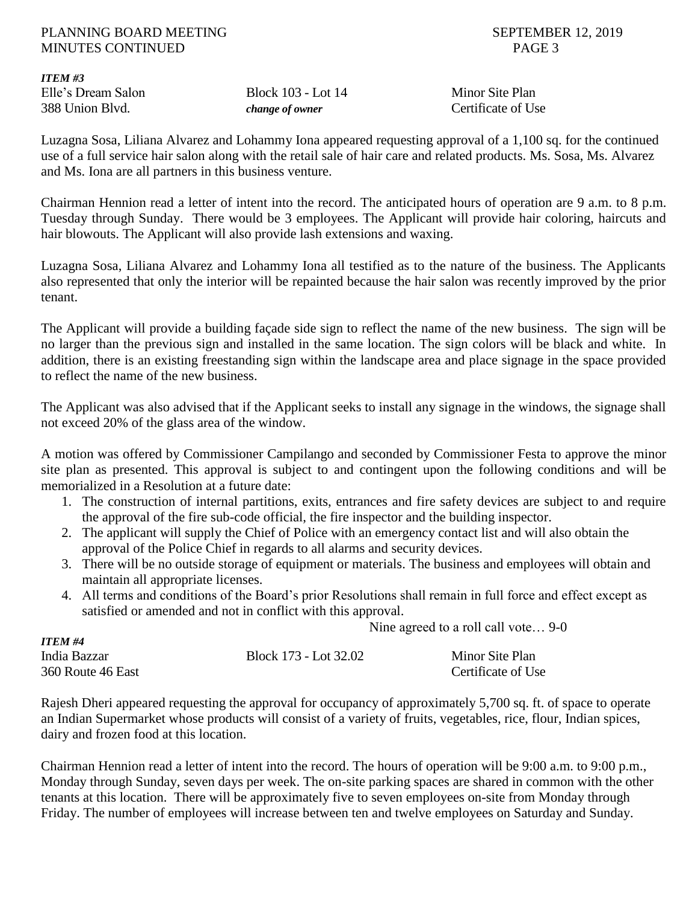*ITEM #3*

*ITEM #4*

Elle's Dream Salon Block 103 - Lot 14 Minor Site Plan 388 Union Blvd. *change of owner* Certificate of Use

Luzagna Sosa, Liliana Alvarez and Lohammy Iona appeared requesting approval of a 1,100 sq. for the continued use of a full service hair salon along with the retail sale of hair care and related products. Ms. Sosa, Ms. Alvarez and Ms. Iona are all partners in this business venture.

Chairman Hennion read a letter of intent into the record. The anticipated hours of operation are 9 a.m. to 8 p.m. Tuesday through Sunday. There would be 3 employees. The Applicant will provide hair coloring, haircuts and hair blowouts. The Applicant will also provide lash extensions and waxing.

Luzagna Sosa, Liliana Alvarez and Lohammy Iona all testified as to the nature of the business. The Applicants also represented that only the interior will be repainted because the hair salon was recently improved by the prior tenant.

The Applicant will provide a building façade side sign to reflect the name of the new business. The sign will be no larger than the previous sign and installed in the same location. The sign colors will be black and white. In addition, there is an existing freestanding sign within the landscape area and place signage in the space provided to reflect the name of the new business.

The Applicant was also advised that if the Applicant seeks to install any signage in the windows, the signage shall not exceed 20% of the glass area of the window.

A motion was offered by Commissioner Campilango and seconded by Commissioner Festa to approve the minor site plan as presented. This approval is subject to and contingent upon the following conditions and will be memorialized in a Resolution at a future date:

- 1. The construction of internal partitions, exits, entrances and fire safety devices are subject to and require the approval of the fire sub-code official, the fire inspector and the building inspector.
- 2. The applicant will supply the Chief of Police with an emergency contact list and will also obtain the approval of the Police Chief in regards to all alarms and security devices.
- 3. There will be no outside storage of equipment or materials. The business and employees will obtain and maintain all appropriate licenses.
- 4. All terms and conditions of the Board's prior Resolutions shall remain in full force and effect except as satisfied or amended and not in conflict with this approval.

Nine agreed to a roll call vote… 9-0

| $11$ $11$ $11$ $11$ $11$ |                       |                    |
|--------------------------|-----------------------|--------------------|
| India Bazzar             | Block 173 - Lot 32.02 | Minor Site Plan    |
| 360 Route 46 East        |                       | Certificate of Use |

Rajesh Dheri appeared requesting the approval for occupancy of approximately 5,700 sq. ft. of space to operate an Indian Supermarket whose products will consist of a variety of fruits, vegetables, rice, flour, Indian spices, dairy and frozen food at this location.

Chairman Hennion read a letter of intent into the record. The hours of operation will be 9:00 a.m. to 9:00 p.m., Monday through Sunday, seven days per week. The on-site parking spaces are shared in common with the other tenants at this location. There will be approximately five to seven employees on-site from Monday through Friday. The number of employees will increase between ten and twelve employees on Saturday and Sunday.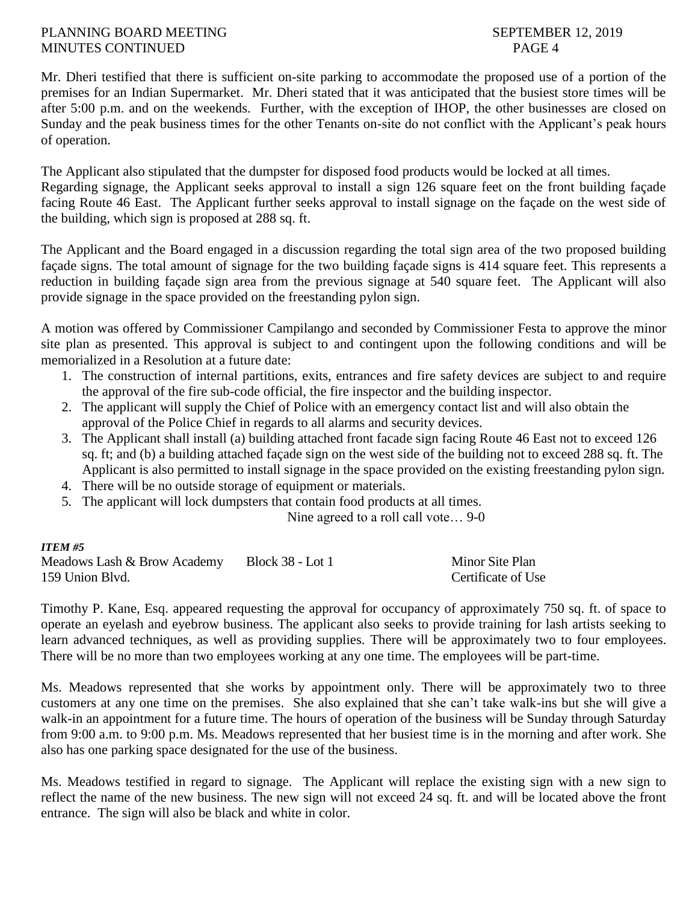Mr. Dheri testified that there is sufficient on-site parking to accommodate the proposed use of a portion of the premises for an Indian Supermarket. Mr. Dheri stated that it was anticipated that the busiest store times will be after 5:00 p.m. and on the weekends. Further, with the exception of IHOP, the other businesses are closed on Sunday and the peak business times for the other Tenants on-site do not conflict with the Applicant's peak hours of operation.

The Applicant also stipulated that the dumpster for disposed food products would be locked at all times. Regarding signage, the Applicant seeks approval to install a sign 126 square feet on the front building façade facing Route 46 East. The Applicant further seeks approval to install signage on the façade on the west side of the building, which sign is proposed at 288 sq. ft.

The Applicant and the Board engaged in a discussion regarding the total sign area of the two proposed building façade signs. The total amount of signage for the two building façade signs is 414 square feet. This represents a reduction in building façade sign area from the previous signage at 540 square feet. The Applicant will also provide signage in the space provided on the freestanding pylon sign.

A motion was offered by Commissioner Campilango and seconded by Commissioner Festa to approve the minor site plan as presented. This approval is subject to and contingent upon the following conditions and will be memorialized in a Resolution at a future date:

- 1. The construction of internal partitions, exits, entrances and fire safety devices are subject to and require the approval of the fire sub-code official, the fire inspector and the building inspector.
- 2. The applicant will supply the Chief of Police with an emergency contact list and will also obtain the approval of the Police Chief in regards to all alarms and security devices.
- 3. The Applicant shall install (a) building attached front facade sign facing Route 46 East not to exceed 126 sq. ft; and (b) a building attached façade sign on the west side of the building not to exceed 288 sq. ft. The Applicant is also permitted to install signage in the space provided on the existing freestanding pylon sign.
- 4. There will be no outside storage of equipment or materials.
- 5. The applicant will lock dumpsters that contain food products at all times.

Nine agreed to a roll call vote… 9-0

#### *ITEM #5*

Meadows Lash & Brow Academy Block 38 - Lot 1 Minor Site Plan 159 Union Blvd. Certificate of Use

Timothy P. Kane, Esq. appeared requesting the approval for occupancy of approximately 750 sq. ft. of space to operate an eyelash and eyebrow business. The applicant also seeks to provide training for lash artists seeking to learn advanced techniques, as well as providing supplies. There will be approximately two to four employees. There will be no more than two employees working at any one time. The employees will be part-time.

Ms. Meadows represented that she works by appointment only. There will be approximately two to three customers at any one time on the premises. She also explained that she can't take walk-ins but she will give a walk-in an appointment for a future time. The hours of operation of the business will be Sunday through Saturday from 9:00 a.m. to 9:00 p.m. Ms. Meadows represented that her busiest time is in the morning and after work. She also has one parking space designated for the use of the business.

Ms. Meadows testified in regard to signage. The Applicant will replace the existing sign with a new sign to reflect the name of the new business. The new sign will not exceed 24 sq. ft. and will be located above the front entrance. The sign will also be black and white in color.